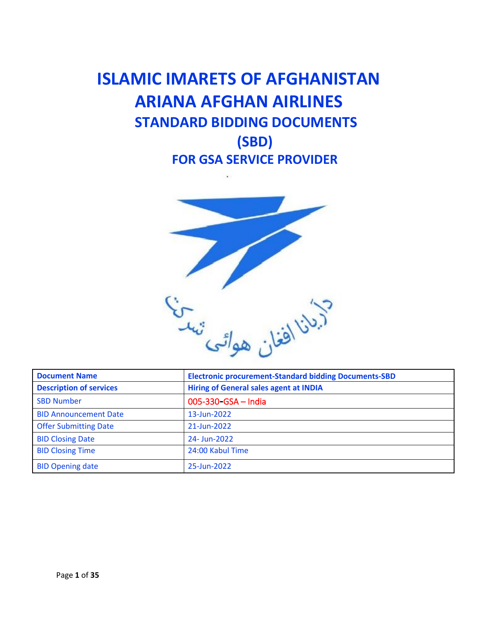# **ISLAMIC IMARETS OF AFGHANISTAN ARIANA AFGHAN AIRLINES STANDARD BIDDING DOCUMENTS (SBD) FOR GSA SERVICE PROVIDER**



| <b>Document Name</b>           | <b>Electronic procurement-Standard bidding Documents-SBD</b> |  |  |
|--------------------------------|--------------------------------------------------------------|--|--|
| <b>Description of services</b> | <b>Hiring of General sales agent at INDIA</b>                |  |  |
| <b>SBD Number</b>              | 005-330-GSA - India                                          |  |  |
| <b>BID Announcement Date</b>   | 13-Jun-2022                                                  |  |  |
| <b>Offer Submitting Date</b>   | 21-Jun-2022                                                  |  |  |
| <b>BID Closing Date</b>        | 24- Jun-2022                                                 |  |  |
| <b>BID Closing Time</b>        | 24:00 Kabul Time                                             |  |  |
| <b>BID Opening date</b>        | 25-Jun-2022                                                  |  |  |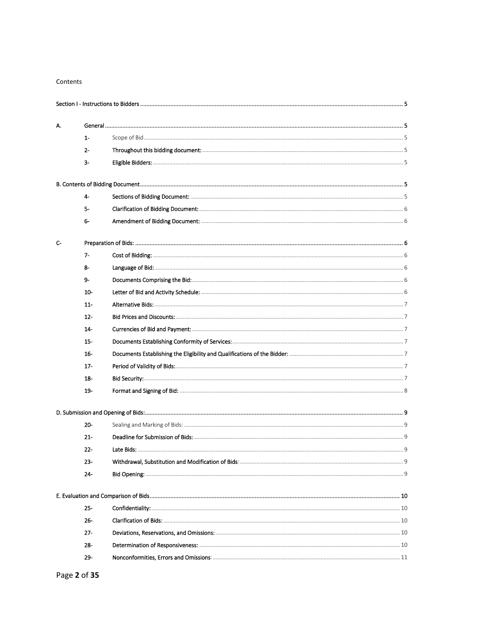#### Contents

| А.   |        |  |
|------|--------|--|
|      | $1-$   |  |
|      | $2 -$  |  |
|      | з-     |  |
|      |        |  |
|      | 4-     |  |
|      | 5-     |  |
|      | 6-     |  |
| $C-$ |        |  |
|      | 7-     |  |
|      | 8-     |  |
|      | 9-     |  |
|      | $10-$  |  |
|      | $11 -$ |  |
|      | $12 -$ |  |
|      | $14-$  |  |
|      | $15 -$ |  |
|      | 16-    |  |
|      | 17-    |  |
|      | $18 -$ |  |
|      | 19-    |  |
|      |        |  |
|      | $20 -$ |  |
|      | $21 -$ |  |
|      | $22 -$ |  |
|      | $23 -$ |  |
|      | 24-    |  |
|      |        |  |
|      | $25 -$ |  |
|      | $26 -$ |  |
|      | $27-$  |  |
|      | 28-    |  |
|      | 29-    |  |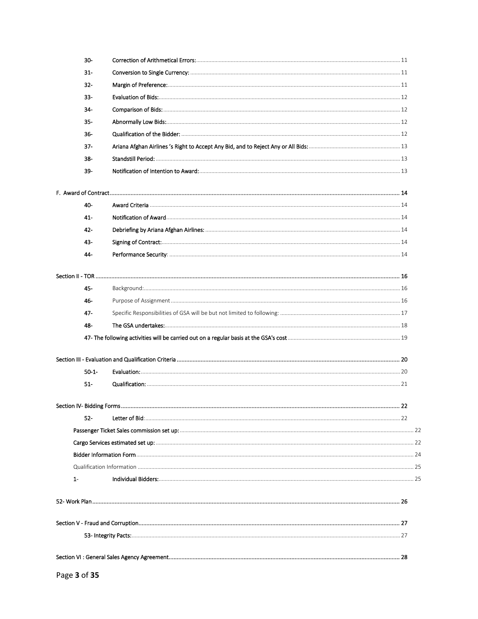| 30-        |  |
|------------|--|
| 31-        |  |
| $32 -$     |  |
| 33-        |  |
| $34 -$     |  |
| $35 -$     |  |
| $36 -$     |  |
| $37 -$     |  |
| 38-        |  |
| 39-        |  |
|            |  |
| 40-        |  |
| $41 -$     |  |
| $42 -$     |  |
| 43-        |  |
| 44-        |  |
|            |  |
| 45-        |  |
| 46-        |  |
| 47-        |  |
| 48-        |  |
|            |  |
|            |  |
| $50 - 1 -$ |  |
| $51 -$     |  |
|            |  |
| $52-$      |  |
|            |  |
|            |  |
|            |  |
|            |  |
| $1-$       |  |
|            |  |
|            |  |
|            |  |
|            |  |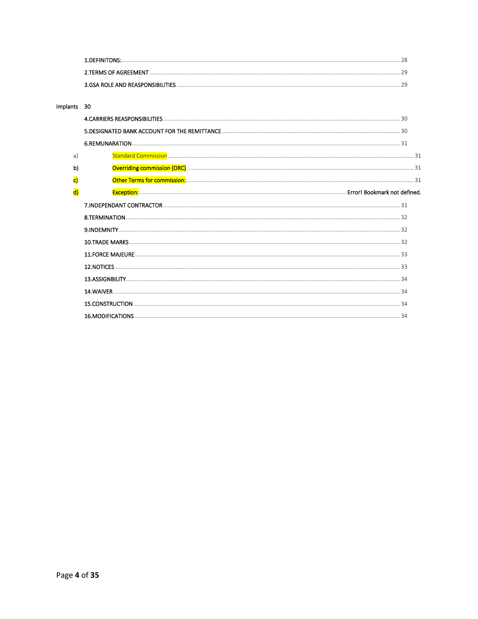| <b>1 DEFINITONS:</b>             |  |
|----------------------------------|--|
| 2.TERMS OF AGREEMENT             |  |
| 3.GSA ROLE AND REASPONSIBILITIES |  |

#### Implants 30

| a) |  |
|----|--|
| b) |  |
| c) |  |
| d) |  |
|    |  |
|    |  |
|    |  |
|    |  |
|    |  |
|    |  |
|    |  |
|    |  |
|    |  |
|    |  |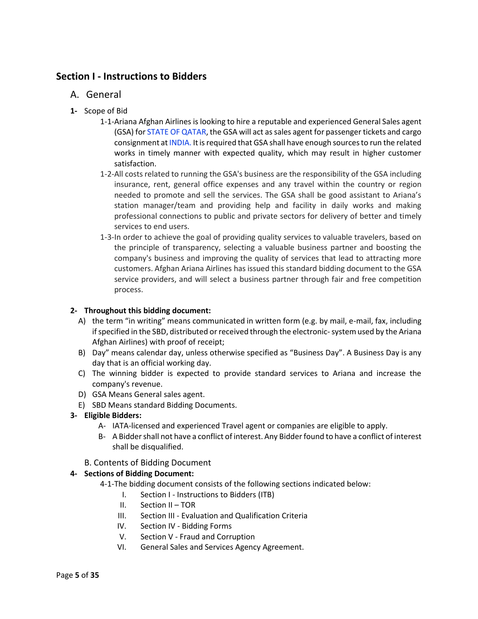# <span id="page-4-1"></span><span id="page-4-0"></span>**Section I - Instructions to Bidders**

- A. General
- <span id="page-4-2"></span>**1-** Scope of Bid
	- 1-1-Ariana Afghan Airlines is looking to hire a reputable and experienced General Sales agent (GSA) for STATE OF QATAR, the GSA will act as sales agent for passenger tickets and cargo consignment at INDIA. It is required that GSA shall have enough sources to run the related works in timely manner with expected quality, which may result in higher customer satisfaction.
	- 1-2-All costs related to running the GSA's business are the responsibility of the GSA including insurance, rent, general office expenses and any travel within the country or region needed to promote and sell the services. The GSA shall be good assistant to Ariana's station manager/team and providing help and facility in daily works and making professional connections to public and private sectors for delivery of better and timely services to end users.
	- 1-3-In order to achieve the goal of providing quality services to valuable travelers, based on the principle of transparency, selecting a valuable business partner and boosting the company's business and improving the quality of services that lead to attracting more customers. Afghan Ariana Airlines has issued this standard bidding document to the GSA service providers, and will select a business partner through fair and free competition process.

# <span id="page-4-3"></span>**2- Throughout this bidding document:**

- A) the term "in writing" means communicated in written form (e.g. by mail, e-mail, fax, including if specified in the SBD, distributed or received through the electronic-system used by the Ariana Afghan Airlines) with proof of receipt;
- B) Day" means calendar day, unless otherwise specified as "Business Day". A Business Day is any day that is an official working day.
- C) The winning bidder is expected to provide standard services to Ariana and increase the company's revenue.
- D) GSA Means General sales agent.
- E) SBD Means standard Bidding Documents.
- <span id="page-4-4"></span>**3- Eligible Bidders:**
	- A- IATA-licensed and experienced Travel agent or companies are eligible to apply.
	- B- A Bidder shall not have a conflict of interest. Any Bidder found to have a conflict of interest shall be disqualified.

#### B. Contents of Bidding Document

# <span id="page-4-6"></span><span id="page-4-5"></span>**4- Sections of Bidding Document:**

- 4-1-The bidding document consists of the following sections indicated below:
	- I. Section I Instructions to Bidders (ITB)
	- II. Section II TOR
	- III. Section III Evaluation and Qualification Criteria
	- IV. Section IV Bidding Forms
	- V. Section V Fraud and Corruption
	- VI. General Sales and Services Agency Agreement.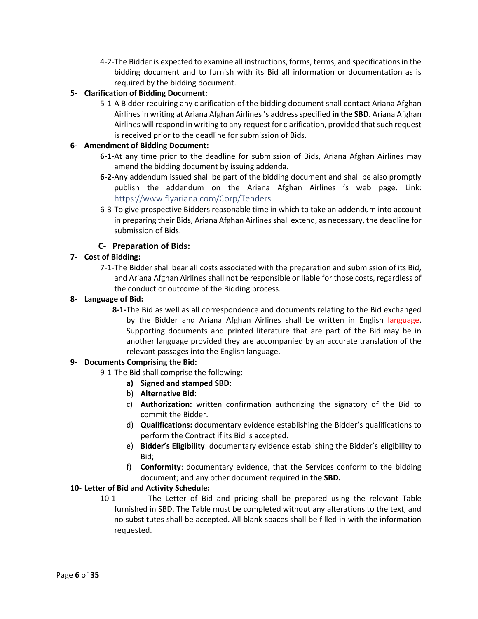4-2-The Bidder is expected to examine all instructions, forms, terms, and specifications in the bidding document and to furnish with its Bid all information or documentation as is required by the bidding document.

# <span id="page-5-0"></span>**5- Clarification of Bidding Document:**

5-1-A Bidder requiring any clarification of the bidding document shall contact Ariana Afghan Airlines in writing at Ariana Afghan Airlines 's address specified **in the SBD**. Ariana Afghan Airlines will respond in writing to any request for clarification, provided that such request is received prior to the deadline for submission of Bids.

#### <span id="page-5-1"></span>**6- Amendment of Bidding Document:**

- **6-1-**At any time prior to the deadline for submission of Bids, Ariana Afghan Airlines may amend the bidding document by issuing addenda.
- **6-2-**Any addendum issued shall be part of the bidding document and shall be also promptly publish the addendum on the Ariana Afghan Airlines 's web page. Link: <https://www.flyariana.com/Corp/Tenders>
- 6-3-To give prospective Bidders reasonable time in which to take an addendum into account in preparing their Bids, Ariana Afghan Airlines shall extend, as necessary, the deadline for submission of Bids.

# **C- Preparation of Bids:**

# <span id="page-5-3"></span><span id="page-5-2"></span>**7- Cost of Bidding:**

7-1-The Bidder shall bear all costs associated with the preparation and submission of its Bid, and Ariana Afghan Airlines shall not be responsible or liable for those costs, regardless of the conduct or outcome of the Bidding process.

#### <span id="page-5-4"></span>**8- Language of Bid:**

**8-1-**The Bid as well as all correspondence and documents relating to the Bid exchanged by the Bidder and Ariana Afghan Airlines shall be written in English language. Supporting documents and printed literature that are part of the Bid may be in another language provided they are accompanied by an accurate translation of the relevant passages into the English language.

#### <span id="page-5-5"></span>**9- Documents Comprising the Bid:**

- 9-1-The Bid shall comprise the following:
	- **a) Signed and stamped SBD:**
	- b) **Alternative Bid**:
	- c) **Authorization:** written confirmation authorizing the signatory of the Bid to commit the Bidder.
	- d) **Qualifications:** documentary evidence establishing the Bidder's qualifications to perform the Contract if its Bid is accepted.
	- e) **Bidder's Eligibility**: documentary evidence establishing the Bidder's eligibility to Bid;
	- f) **Conformity**: documentary evidence, that the Services conform to the bidding document; and any other document required **in the SBD.**

#### <span id="page-5-6"></span>**10- Letter of Bid and Activity Schedule:**

10-1- The Letter of Bid and pricing shall be prepared using the relevant Table furnished in SBD. The Table must be completed without any alterations to the text, and no substitutes shall be accepted. All blank spaces shall be filled in with the information requested.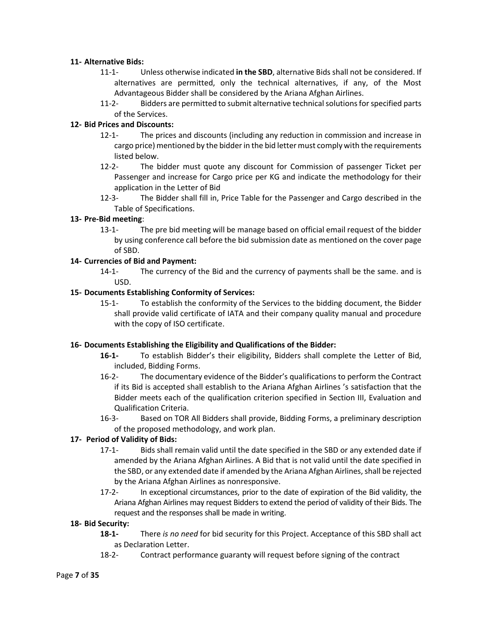#### <span id="page-6-0"></span>**11- Alternative Bids:**

- 11-1- Unless otherwise indicated **in the SBD**, alternative Bids shall not be considered. If alternatives are permitted, only the technical alternatives, if any, of the Most Advantageous Bidder shall be considered by the Ariana Afghan Airlines.
- 11-2- Bidders are permitted to submit alternative technical solutions for specified parts of the Services.

# <span id="page-6-1"></span>**12- Bid Prices and Discounts:**

- 12-1- The prices and discounts (including any reduction in commission and increase in cargo price) mentioned by the bidder in the bid letter must comply with the requirements listed below.
- 12-2- The bidder must quote any discount for Commission of passenger Ticket per Passenger and increase for Cargo price per KG and indicate the methodology for their application in the Letter of Bid
- 12-3- The Bidder shall fill in, Price Table for the Passenger and Cargo described in the Table of Specifications.

# **13- Pre-Bid meeting**:

13-1- The pre bid meeting will be manage based on official email request of the bidder by using conference call before the bid submission date as mentioned on the cover page of SBD.

# <span id="page-6-2"></span>**14- Currencies of Bid and Payment:**

14-1- The currency of the Bid and the currency of payments shall be the same. and is USD.

# <span id="page-6-3"></span>**15- Documents Establishing Conformity of Services:**

15-1- To establish the conformity of the Services to the bidding document, the Bidder shall provide valid certificate of IATA and their company quality manual and procedure with the copy of ISO certificate.

#### <span id="page-6-4"></span>**16- Documents Establishing the Eligibility and Qualifications of the Bidder:**

- **16-1-** To establish Bidder's their eligibility, Bidders shall complete the Letter of Bid, included, Bidding Forms.
- 16-2- The documentary evidence of the Bidder's qualifications to perform the Contract if its Bid is accepted shall establish to the Ariana Afghan Airlines 's satisfaction that the Bidder meets each of the qualification criterion specified in Section III, Evaluation and Qualification Criteria.
- 16-3- Based on TOR All Bidders shall provide, Bidding Forms, a preliminary description of the proposed methodology, and work plan.

# <span id="page-6-5"></span>**17- Period of Validity of Bids:**

- 17-1- Bids shall remain valid until the date specified in the SBD or any extended date if amended by the Ariana Afghan Airlines. A Bid that is not valid until the date specified in the SBD, or any extended date if amended by the Ariana Afghan Airlines, shall be rejected by the Ariana Afghan Airlines as nonresponsive.
- 17-2- In exceptional circumstances, prior to the date of expiration of the Bid validity, the Ariana Afghan Airlines may request Bidders to extend the period of validity of their Bids. The request and the responses shall be made in writing.

#### <span id="page-6-6"></span>**18- Bid Security:**

- **18-1-** There *is no need* for bid security for this Project. Acceptance of this SBD shall act as Declaration Letter.
- 18-2- Contract performance guaranty will request before signing of the contract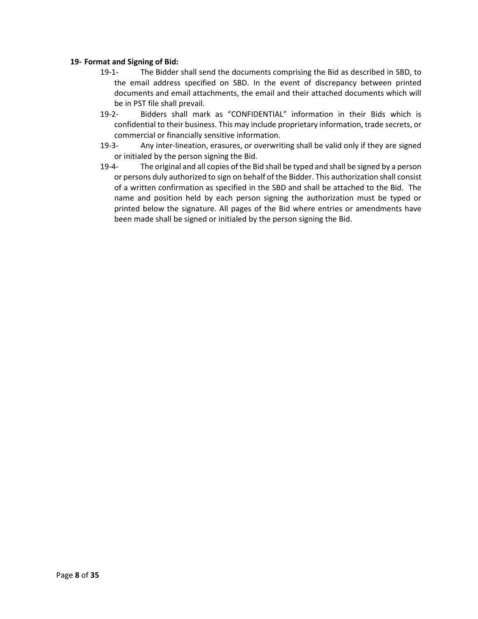#### <span id="page-7-0"></span>**19- Format and Signing of Bid:**

- 19-1- The Bidder shall send the documents comprising the Bid as described in SBD, to the email address specified on SBD. In the event of discrepancy between printed documents and email attachments, the email and their attached documents which will be in PST file shall prevail.
- 19-2- Bidders shall mark as "CONFIDENTIAL" information in their Bids which is confidential to their business. This may include proprietary information, trade secrets, or commercial or financially sensitive information.
- 19-3- Any inter-lineation, erasures, or overwriting shall be valid only if they are signed or initialed by the person signing the Bid.
- 19-4- The original and all copies of the Bid shall be typed and shall be signed by a person or persons duly authorized to sign on behalf of the Bidder. This authorization shall consist of a written confirmation as specified in the SBD and shall be attached to the Bid. The name and position held by each person signing the authorization must be typed or printed below the signature. All pages of the Bid where entries or amendments have been made shall be signed or initialed by the person signing the Bid.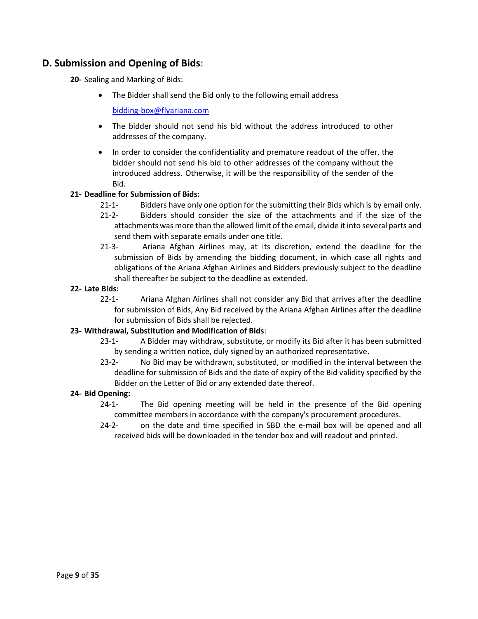# <span id="page-8-1"></span><span id="page-8-0"></span>**D. Submission and Opening of Bids**:

**20-** Sealing and Marking of Bids:

• The Bidder shall send the Bid only to the following email address

[bidding-box@flyariana.com](mailto:bidding-box@flyariana.com)

- The bidder should not send his bid without the address introduced to other addresses of the company.
- In order to consider the confidentiality and premature readout of the offer, the bidder should not send his bid to other addresses of the company without the introduced address. Otherwise, it will be the responsibility of the sender of the Bid.

#### <span id="page-8-2"></span>**21- Deadline for Submission of Bids:**

- 21-1- Bidders have only one option for the submitting their Bids which is by email only.
- 21-2- Bidders should consider the size of the attachments and if the size of the attachments was more than the allowed limit of the email, divide it into several parts and send them with separate emails under one title.
- 21-3- Ariana Afghan Airlines may, at its discretion, extend the deadline for the submission of Bids by amending the bidding document, in which case all rights and obligations of the Ariana Afghan Airlines and Bidders previously subject to the deadline shall thereafter be subject to the deadline as extended.

#### <span id="page-8-3"></span>**22- Late Bids:**

22-1- Ariana Afghan Airlines shall not consider any Bid that arrives after the deadline for submission of Bids, Any Bid received by the Ariana Afghan Airlines after the deadline for submission of Bids shall be rejected.

#### <span id="page-8-4"></span>**23- Withdrawal, Substitution and Modification of Bids**:

- 23-1- A Bidder may withdraw, substitute, or modify its Bid after it has been submitted by sending a written notice, duly signed by an authorized representative.
- 23-2- No Bid may be withdrawn, substituted, or modified in the interval between the deadline for submission of Bids and the date of expiry of the Bid validity specified by the Bidder on the Letter of Bid or any extended date thereof.

#### <span id="page-8-5"></span>**24- Bid Opening:**

- 24-1- The Bid opening meeting will be held in the presence of the Bid opening committee members in accordance with the company's procurement procedures.
- 24-2- on the date and time specified in SBD the e-mail box will be opened and all received bids will be downloaded in the tender box and will readout and printed.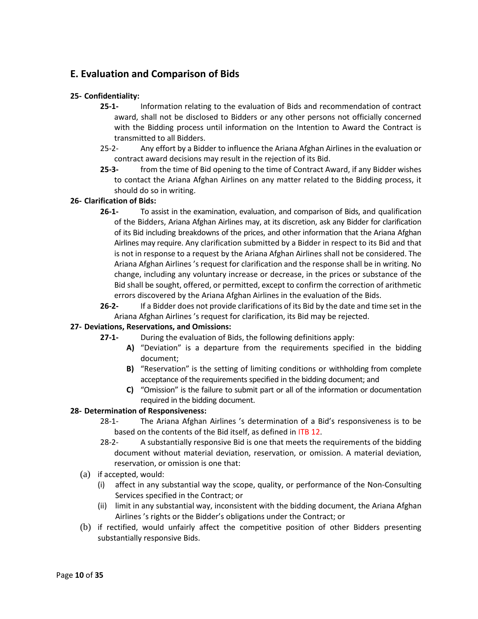# <span id="page-9-0"></span>**E. Evaluation and Comparison of Bids**

# <span id="page-9-1"></span>**25- Confidentiality:**

- **25-1-** Information relating to the evaluation of Bids and recommendation of contract award, shall not be disclosed to Bidders or any other persons not officially concerned with the Bidding process until information on the Intention to Award the Contract is transmitted to all Bidders.
- 25-2- Any effort by a Bidder to influence the Ariana Afghan Airlines in the evaluation or contract award decisions may result in the rejection of its Bid.
- **25-3-** from the time of Bid opening to the time of Contract Award, if any Bidder wishes to contact the Ariana Afghan Airlines on any matter related to the Bidding process, it should do so in writing.

#### <span id="page-9-2"></span>**26- Clarification of Bids:**

- **26-1-** To assist in the examination, evaluation, and comparison of Bids, and qualification of the Bidders, Ariana Afghan Airlines may, at its discretion, ask any Bidder for clarification of its Bid including breakdowns of the prices, and other information that the Ariana Afghan Airlines may require. Any clarification submitted by a Bidder in respect to its Bid and that is not in response to a request by the Ariana Afghan Airlines shall not be considered. The Ariana Afghan Airlines 's request for clarification and the response shall be in writing. No change, including any voluntary increase or decrease, in the prices or substance of the Bid shall be sought, offered, or permitted, except to confirm the correction of arithmetic errors discovered by the Ariana Afghan Airlines in the evaluation of the Bids.
- **26-2-** If a Bidder does not provide clarifications of its Bid by the date and time set in the Ariana Afghan Airlines 's request for clarification, its Bid may be rejected.

# <span id="page-9-3"></span>**27- Deviations, Reservations, and Omissions:**

- **27-1-** During the evaluation of Bids, the following definitions apply:
	- **A)** "Deviation" is a departure from the requirements specified in the bidding document;
	- **B)** "Reservation" is the setting of limiting conditions or withholding from complete acceptance of the requirements specified in the bidding document; and
	- **C)** "Omission" is the failure to submit part or all of the information or documentation required in the bidding document.

#### <span id="page-9-4"></span>**28- Determination of Responsiveness:**

- 28-1- The Ariana Afghan Airlines 's determination of a Bid's responsiveness is to be based on the contents of the Bid itself, as defined in ITB 12.
- 28-2- A substantially responsive Bid is one that meets the requirements of the bidding document without material deviation, reservation, or omission. A material deviation, reservation, or omission is one that:
- (a) if accepted, would:
	- (i) affect in any substantial way the scope, quality, or performance of the Non-Consulting Services specified in the Contract; or
	- (ii) limit in any substantial way, inconsistent with the bidding document, the Ariana Afghan Airlines 's rights or the Bidder's obligations under the Contract; or
- (b) if rectified, would unfairly affect the competitive position of other Bidders presenting substantially responsive Bids.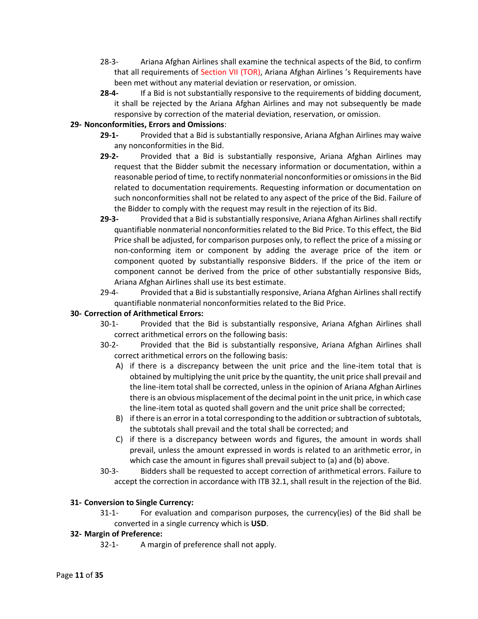- 28-3- Ariana Afghan Airlines shall examine the technical aspects of the Bid, to confirm that all requirements of Section VII (TOR), Ariana Afghan Airlines 's Requirements have been met without any material deviation or reservation, or omission.
- **28-4-** If a Bid is not substantially responsive to the requirements of bidding document, it shall be rejected by the Ariana Afghan Airlines and may not subsequently be made responsive by correction of the material deviation, reservation, or omission.

#### <span id="page-10-0"></span>**29- Nonconformities, Errors and Omissions**:

- **29-1-** Provided that a Bid is substantially responsive, Ariana Afghan Airlines may waive any nonconformities in the Bid.
- **29-2-** Provided that a Bid is substantially responsive, Ariana Afghan Airlines may request that the Bidder submit the necessary information or documentation, within a reasonable period of time, to rectify nonmaterial nonconformities or omissions in the Bid related to documentation requirements. Requesting information or documentation on such nonconformities shall not be related to any aspect of the price of the Bid. Failure of the Bidder to comply with the request may result in the rejection of its Bid.
- **29-3-** Provided that a Bid is substantially responsive, Ariana Afghan Airlines shall rectify quantifiable nonmaterial nonconformities related to the Bid Price. To this effect, the Bid Price shall be adjusted, for comparison purposes only, to reflect the price of a missing or non-conforming item or component by adding the average price of the item or component quoted by substantially responsive Bidders. If the price of the item or component cannot be derived from the price of other substantially responsive Bids, Ariana Afghan Airlines shall use its best estimate.
- 29-4- Provided that a Bid is substantially responsive, Ariana Afghan Airlines shall rectify quantifiable nonmaterial nonconformities related to the Bid Price.

# <span id="page-10-1"></span>**30- Correction of Arithmetical Errors:**

- 30-1- Provided that the Bid is substantially responsive, Ariana Afghan Airlines shall correct arithmetical errors on the following basis:
- 30-2- Provided that the Bid is substantially responsive, Ariana Afghan Airlines shall correct arithmetical errors on the following basis:
	- A) if there is a discrepancy between the unit price and the line-item total that is obtained by multiplying the unit price by the quantity, the unit price shall prevail and the line-item total shall be corrected, unless in the opinion of Ariana Afghan Airlines there is an obvious misplacement of the decimal point in the unit price, in which case the line-item total as quoted shall govern and the unit price shall be corrected;
	- B) if there is an error in a total corresponding to the addition or subtraction of subtotals, the subtotals shall prevail and the total shall be corrected; and
	- C) if there is a discrepancy between words and figures, the amount in words shall prevail, unless the amount expressed in words is related to an arithmetic error, in which case the amount in figures shall prevail subject to (a) and (b) above.
- 30-3- Bidders shall be requested to accept correction of arithmetical errors. Failure to accept the correction in accordance with ITB 32.1, shall result in the rejection of the Bid.

#### <span id="page-10-2"></span>**31- Conversion to Single Currency:**

31-1- For evaluation and comparison purposes, the currency(ies) of the Bid shall be converted in a single currency which is **USD**.

#### <span id="page-10-3"></span>**32- Margin of Preference:**

32-1- A margin of preference shall not apply.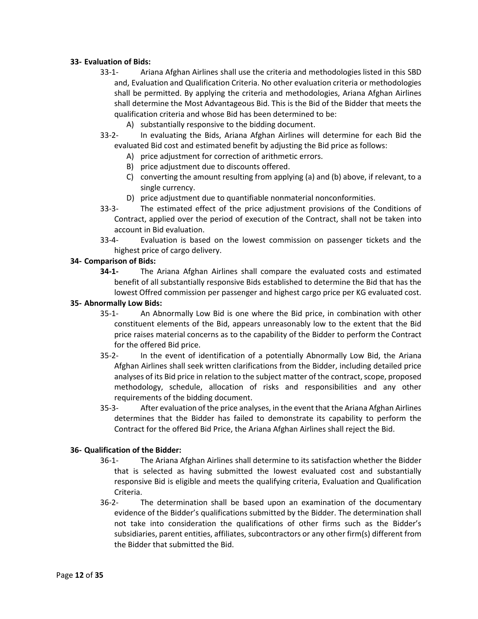#### <span id="page-11-0"></span>**33- Evaluation of Bids:**

- 33-1- Ariana Afghan Airlines shall use the criteria and methodologies listed in this SBD and, Evaluation and Qualification Criteria. No other evaluation criteria or methodologies shall be permitted. By applying the criteria and methodologies, Ariana Afghan Airlines shall determine the Most Advantageous Bid. This is the Bid of the Bidder that meets the qualification criteria and whose Bid has been determined to be:
	- A) substantially responsive to the bidding document.
- 33-2- In evaluating the Bids, Ariana Afghan Airlines will determine for each Bid the evaluated Bid cost and estimated benefit by adjusting the Bid price as follows:
	- A) price adjustment for correction of arithmetic errors.
	- B) price adjustment due to discounts offered.
	- C) converting the amount resulting from applying (a) and (b) above, if relevant, to a single currency.
	- D) price adjustment due to quantifiable nonmaterial nonconformities.
- 33-3- The estimated effect of the price adjustment provisions of the Conditions of Contract, applied over the period of execution of the Contract, shall not be taken into account in Bid evaluation.
- 33-4- Evaluation is based on the lowest commission on passenger tickets and the highest price of cargo delivery.

#### <span id="page-11-1"></span>**34- Comparison of Bids:**

**34-1-** The Ariana Afghan Airlines shall compare the evaluated costs and estimated benefit of all substantially responsive Bids established to determine the Bid that has the lowest Offred commission per passenger and highest cargo price per KG evaluated cost.

#### <span id="page-11-2"></span>**35- Abnormally Low Bids:**

- 35-1- An Abnormally Low Bid is one where the Bid price, in combination with other constituent elements of the Bid, appears unreasonably low to the extent that the Bid price raises material concerns as to the capability of the Bidder to perform the Contract for the offered Bid price.
- 35-2- In the event of identification of a potentially Abnormally Low Bid, the Ariana Afghan Airlines shall seek written clarifications from the Bidder, including detailed price analyses of its Bid price in relation to the subject matter of the contract, scope, proposed methodology, schedule, allocation of risks and responsibilities and any other requirements of the bidding document.
- 35-3- After evaluation of the price analyses, in the event that the Ariana Afghan Airlines determines that the Bidder has failed to demonstrate its capability to perform the Contract for the offered Bid Price, the Ariana Afghan Airlines shall reject the Bid.

#### <span id="page-11-3"></span>**36- Qualification of the Bidder:**

- 36-1- The Ariana Afghan Airlines shall determine to its satisfaction whether the Bidder that is selected as having submitted the lowest evaluated cost and substantially responsive Bid is eligible and meets the qualifying criteria, Evaluation and Qualification Criteria.
- 36-2- The determination shall be based upon an examination of the documentary evidence of the Bidder's qualifications submitted by the Bidder. The determination shall not take into consideration the qualifications of other firms such as the Bidder's subsidiaries, parent entities, affiliates, subcontractors or any other firm(s) different from the Bidder that submitted the Bid.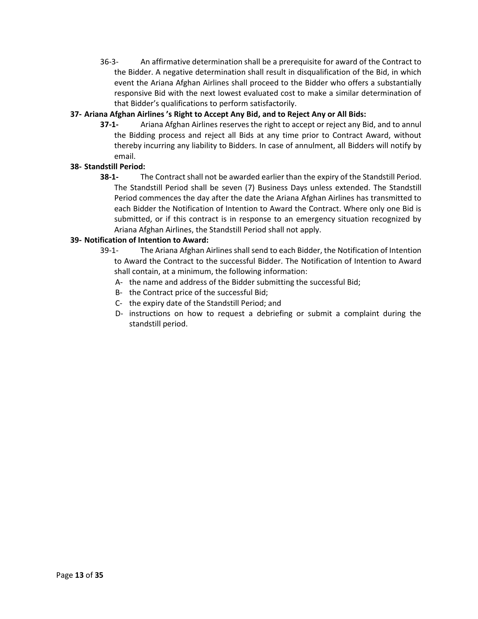36-3- An affirmative determination shall be a prerequisite for award of the Contract to the Bidder. A negative determination shall result in disqualification of the Bid, in which event the Ariana Afghan Airlines shall proceed to the Bidder who offers a substantially responsive Bid with the next lowest evaluated cost to make a similar determination of that Bidder's qualifications to perform satisfactorily.

# <span id="page-12-0"></span>**37- Ariana Afghan Airlines 's Right to Accept Any Bid, and to Reject Any or All Bids:**

**37-1-** Ariana Afghan Airlines reserves the right to accept or reject any Bid, and to annul the Bidding process and reject all Bids at any time prior to Contract Award, without thereby incurring any liability to Bidders. In case of annulment, all Bidders will notify by email.

# <span id="page-12-1"></span>**38- Standstill Period:**

**38-1-** The Contract shall not be awarded earlier than the expiry of the Standstill Period. The Standstill Period shall be seven (7) Business Days unless extended. The Standstill Period commences the day after the date the Ariana Afghan Airlines has transmitted to each Bidder the Notification of Intention to Award the Contract. Where only one Bid is submitted, or if this contract is in response to an emergency situation recognized by Ariana Afghan Airlines, the Standstill Period shall not apply.

# <span id="page-12-2"></span>**39- Notification of Intention to Award:**

- 39-1- The Ariana Afghan Airlines shall send to each Bidder, the Notification of Intention to Award the Contract to the successful Bidder. The Notification of Intention to Award shall contain, at a minimum, the following information:
	- A- the name and address of the Bidder submitting the successful Bid;
	- B- the Contract price of the successful Bid;
	- C- the expiry date of the Standstill Period; and
	- D- instructions on how to request a debriefing or submit a complaint during the standstill period.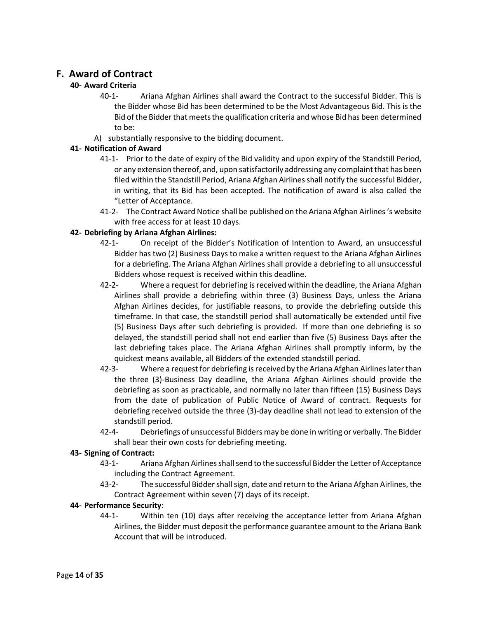# <span id="page-13-1"></span><span id="page-13-0"></span>**F. Award of Contract**

# **40- Award Criteria**

- 40-1- Ariana Afghan Airlines shall award the Contract to the successful Bidder. This is the Bidder whose Bid has been determined to be the Most Advantageous Bid. This is the Bid of the Bidder that meets the qualification criteria and whose Bid has been determined to be:
- A) substantially responsive to the bidding document.

# <span id="page-13-2"></span>**41- Notification of Award**

- 41-1- Prior to the date of expiry of the Bid validity and upon expiry of the Standstill Period, or any extension thereof, and, upon satisfactorily addressing any complaint that has been filed within the Standstill Period, Ariana Afghan Airlines shall notify the successful Bidder, in writing, that its Bid has been accepted. The notification of award is also called the "Letter of Acceptance.
- 41-2- The Contract Award Notice shall be published on the Ariana Afghan Airlines 's website with free access for at least 10 days.

# <span id="page-13-3"></span>**42- Debriefing by Ariana Afghan Airlines:**

- 42-1- On receipt of the Bidder's Notification of Intention to Award, an unsuccessful Bidder has two (2) Business Days to make a written request to the Ariana Afghan Airlines for a debriefing. The Ariana Afghan Airlines shall provide a debriefing to all unsuccessful Bidders whose request is received within this deadline.
- 42-2- Where a request for debriefing is received within the deadline, the Ariana Afghan Airlines shall provide a debriefing within three (3) Business Days, unless the Ariana Afghan Airlines decides, for justifiable reasons, to provide the debriefing outside this timeframe. In that case, the standstill period shall automatically be extended until five (5) Business Days after such debriefing is provided. If more than one debriefing is so delayed, the standstill period shall not end earlier than five (5) Business Days after the last debriefing takes place. The Ariana Afghan Airlines shall promptly inform, by the quickest means available, all Bidders of the extended standstill period.
- 42-3- Where a request for debriefing is received by the Ariana Afghan Airlines later than the three (3)-Business Day deadline, the Ariana Afghan Airlines should provide the debriefing as soon as practicable, and normally no later than fifteen (15) Business Days from the date of publication of Public Notice of Award of contract. Requests for debriefing received outside the three (3)-day deadline shall not lead to extension of the standstill period.
- 42-4- Debriefings of unsuccessful Bidders may be done in writing or verbally. The Bidder shall bear their own costs for debriefing meeting.

#### <span id="page-13-4"></span>**43- Signing of Contract:**

- 43-1- Ariana Afghan Airlines shall send to the successful Bidder the Letter of Acceptance including the Contract Agreement.
- 43-2- The successful Bidder shall sign, date and return to the Ariana Afghan Airlines, the Contract Agreement within seven (7) days of its receipt.

#### <span id="page-13-5"></span>**44- Performance Security**:

44-1- Within ten (10) days after receiving the acceptance letter from Ariana Afghan Airlines, the Bidder must deposit the performance guarantee amount to the Ariana Bank Account that will be introduced.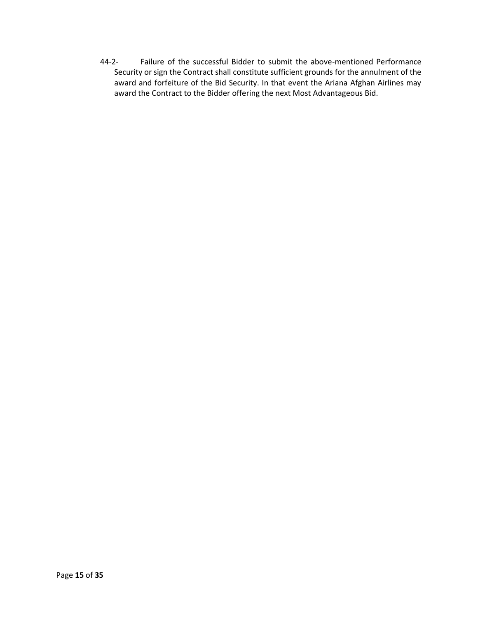44-2- Failure of the successful Bidder to submit the above-mentioned Performance Security or sign the Contract shall constitute sufficient grounds for the annulment of the award and forfeiture of the Bid Security. In that event the Ariana Afghan Airlines may award the Contract to the Bidder offering the next Most Advantageous Bid.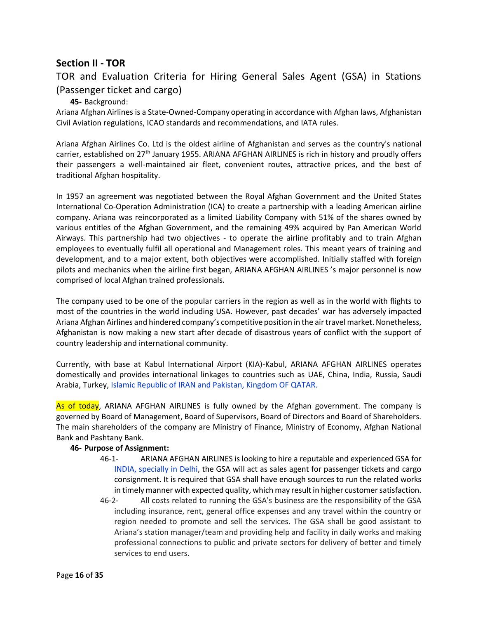# <span id="page-15-0"></span>**Section II - TOR**

# TOR and Evaluation Criteria for Hiring General Sales Agent (GSA) in Stations (Passenger ticket and cargo)

#### **45-** Background:

<span id="page-15-1"></span>Ariana Afghan Airlines is a State-Owned-Company operating in accordance with Afghan laws, Afghanistan Civil Aviation regulations, ICAO standards and recommendations, and IATA rules.

Ariana Afghan Airlines Co. Ltd is the oldest airline of Afghanistan and serves as the country's national carrier, established on 27<sup>th</sup> January 1955. ARIANA AFGHAN AIRLINES is rich in history and proudly offers their passengers a well-maintained air fleet, convenient routes, attractive prices, and the best of traditional Afghan hospitality.

In 1957 an agreement was negotiated between the Royal Afghan Government and the United States International Co-Operation Administration (ICA) to create a partnership with a leading American airline company. Ariana was reincorporated as a limited Liability Company with 51% of the shares owned by various entitles of the Afghan Government, and the remaining 49% acquired by Pan American World Airways. This partnership had two objectives - to operate the airline profitably and to train Afghan employees to eventually fulfil all operational and Management roles. This meant years of training and development, and to a major extent, both objectives were accomplished. Initially staffed with foreign pilots and mechanics when the airline first began, ARIANA AFGHAN AIRLINES 's major personnel is now comprised of local Afghan trained professionals.

The company used to be one of the popular carriers in the region as well as in the world with flights to most of the countries in the world including USA. However, past decades' war has adversely impacted Ariana Afghan Airlines and hindered company's competitive position in the air travel market. Nonetheless, Afghanistan is now making a new start after decade of disastrous years of conflict with the support of country leadership and international community.

Currently, with base at Kabul International Airport (KIA)-Kabul, ARIANA AFGHAN AIRLINES operates domestically and provides international linkages to countries such as UAE, China, India, Russia, Saudi Arabia, Turkey, Islamic Republic of IRAN and Pakistan, Kingdom OF QATAR.

As of today, ARIANA AFGHAN AIRLINES is fully owned by the Afghan government. The company is governed by Board of Management, Board of Supervisors, Board of Directors and Board of Shareholders. The main shareholders of the company are Ministry of Finance, Ministry of Economy, Afghan National Bank and Pashtany Bank.

#### <span id="page-15-2"></span>**46- Purpose of Assignment:**

- 46-1- ARIANA AFGHAN AIRLINES is looking to hire a reputable and experienced GSA for INDIA, specially in Delhi, the GSA will act as sales agent for passenger tickets and cargo consignment. It is required that GSA shall have enough sources to run the related works in timely manner with expected quality, which may result in higher customer satisfaction.
- 46-2- All costs related to running the GSA's business are the responsibility of the GSA including insurance, rent, general office expenses and any travel within the country or region needed to promote and sell the services. The GSA shall be good assistant to Ariana's station manager/team and providing help and facility in daily works and making professional connections to public and private sectors for delivery of better and timely services to end users.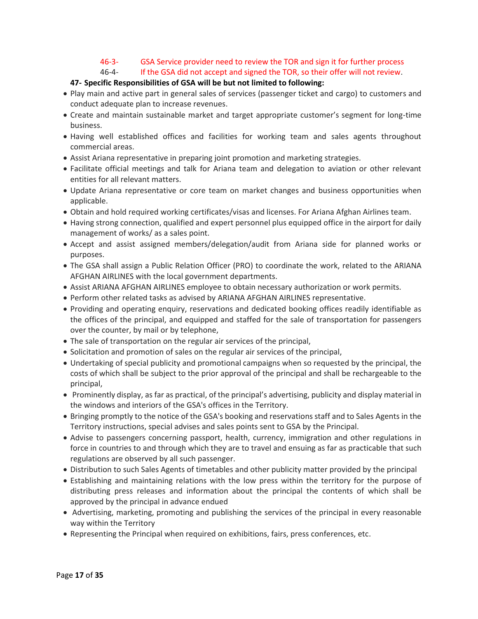#### 46-3- GSA Service provider need to review the TOR and sign it for further process

46-4- If the GSA did not accept and signed the TOR, so their offer will not review.

# **47- Specific Responsibilities of GSA will be but not limited to following:**

- <span id="page-16-0"></span>• Play main and active part in general sales of services (passenger ticket and cargo) to customers and conduct adequate plan to increase revenues.
- Create and maintain sustainable market and target appropriate customer's segment for long-time business.
- Having well established offices and facilities for working team and sales agents throughout commercial areas.
- Assist Ariana representative in preparing joint promotion and marketing strategies.
- Facilitate official meetings and talk for Ariana team and delegation to aviation or other relevant entities for all relevant matters.
- Update Ariana representative or core team on market changes and business opportunities when applicable.
- Obtain and hold required working certificates/visas and licenses. For Ariana Afghan Airlines team.
- Having strong connection, qualified and expert personnel plus equipped office in the airport for daily management of works/ as a sales point.
- Accept and assist assigned members/delegation/audit from Ariana side for planned works or purposes.
- The GSA shall assign a Public Relation Officer (PRO) to coordinate the work, related to the ARIANA AFGHAN AIRLINES with the local government departments.
- Assist ARIANA AFGHAN AIRLINES employee to obtain necessary authorization or work permits.
- Perform other related tasks as advised by ARIANA AFGHAN AIRLINES representative.
- Providing and operating enquiry, reservations and dedicated booking offices readily identifiable as the offices of the principal, and equipped and staffed for the sale of transportation for passengers over the counter, by mail or by telephone,
- The sale of transportation on the regular air services of the principal,
- Solicitation and promotion of sales on the regular air services of the principal,
- Undertaking of special publicity and promotional campaigns when so requested by the principal, the costs of which shall be subject to the prior approval of the principal and shall be rechargeable to the principal,
- Prominently display, as far as practical, of the principal's advertising, publicity and display material in the windows and interiors of the GSA's offices in the Territory.
- Bringing promptly to the notice of the GSA's booking and reservations staff and to Sales Agents in the Territory instructions, special advises and sales points sent to GSA by the Principal.
- Advise to passengers concerning passport, health, currency, immigration and other regulations in force in countries to and through which they are to travel and ensuing as far as practicable that such regulations are observed by all such passenger.
- Distribution to such Sales Agents of timetables and other publicity matter provided by the principal
- Establishing and maintaining relations with the low press within the territory for the purpose of distributing press releases and information about the principal the contents of which shall be approved by the principal in advance endued
- Advertising, marketing, promoting and publishing the services of the principal in every reasonable way within the Territory
- Representing the Principal when required on exhibitions, fairs, press conferences, etc.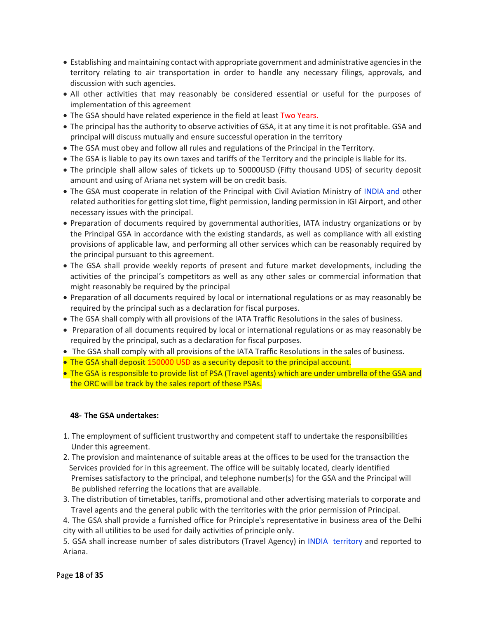- Establishing and maintaining contact with appropriate government and administrative agencies in the territory relating to air transportation in order to handle any necessary filings, approvals, and discussion with such agencies.
- All other activities that may reasonably be considered essential or useful for the purposes of implementation of this agreement
- The GSA should have related experience in the field at least Two Years.
- The principal has the authority to observe activities of GSA, it at any time it is not profitable. GSA and principal will discuss mutually and ensure successful operation in the territory
- The GSA must obey and follow all rules and regulations of the Principal in the Territory.
- The GSA is liable to pay its own taxes and tariffs of the Territory and the principle is liable for its.
- The principle shall allow sales of tickets up to 50000USD (Fifty thousand UDS) of security deposit amount and using of Ariana net system will be on credit basis.
- The GSA must cooperate in relation of the Principal with Civil Aviation Ministry of INDIA and other related authorities for getting slot time, flight permission, landing permission in IGI Airport, and other necessary issues with the principal.
- Preparation of documents required by governmental authorities, IATA industry organizations or by the Principal GSA in accordance with the existing standards, as well as compliance with all existing provisions of applicable law, and performing all other services which can be reasonably required by the principal pursuant to this agreement.
- The GSA shall provide weekly reports of present and future market developments, including the activities of the principal's competitors as well as any other sales or commercial information that might reasonably be required by the principal
- Preparation of all documents required by local or international regulations or as may reasonably be required by the principal such as a declaration for fiscal purposes.
- The GSA shall comply with all provisions of the IATA Traffic Resolutions in the sales of business.
- Preparation of all documents required by local or international regulations or as may reasonably be required by the principal, such as a declaration for fiscal purposes.
- The GSA shall comply with all provisions of the IATA Traffic Resolutions in the sales of business.
- The GSA shall deposit 150000 USD as a security deposit to the principal account.
- The GSA is responsible to provide list of PSA (Travel agents) which are under umbrella of the GSA and the ORC will be track by the sales report of these PSAs.

#### <span id="page-17-0"></span>**48- The GSA undertakes:**

- 1. The employment of sufficient trustworthy and competent staff to undertake the responsibilities Under this agreement.
- 2. The provision and maintenance of suitable areas at the offices to be used for the transaction the Services provided for in this agreement. The office will be suitably located, clearly identified Premises satisfactory to the principal, and telephone number(s) for the GSA and the Principal will Be published referring the locations that are available.
- 3. The distribution of timetables, tariffs, promotional and other advertising materials to corporate and Travel agents and the general public with the territories with the prior permission of Principal.

4. The GSA shall provide a furnished office for Principle's representative in business area of the Delhi city with all utilities to be used for daily activities of principle only.

5. GSA shall increase number of sales distributors (Travel Agency) in INDIA territory and reported to Ariana.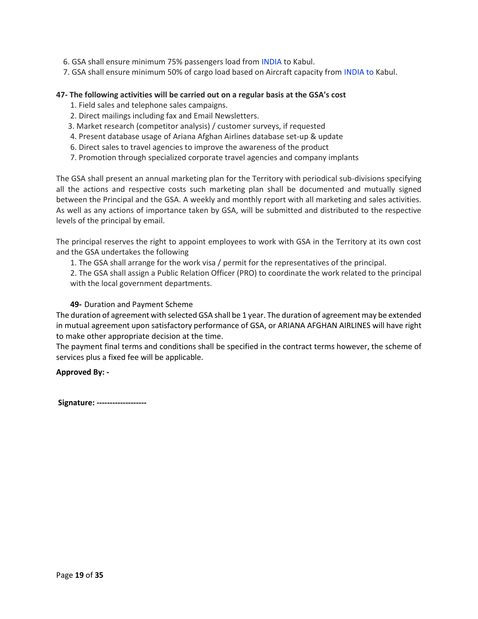6. GSA shall ensure minimum 75% passengers load from INDIA to Kabul.

7. GSA shall ensure minimum 50% of cargo load based on Aircraft capacity from INDIA to Kabul.

#### <span id="page-18-0"></span>**47- The following activities will be carried out on a regular basis at the GSA's cost**

- 1. Field sales and telephone sales campaigns.
- 2. Direct mailings including fax and Email Newsletters.
- 3. Market research (competitor analysis) / customer surveys, if requested
- 4. Present database usage of Ariana Afghan Airlines database set-up & update
- 6. Direct sales to travel agencies to improve the awareness of the product
- 7. Promotion through specialized corporate travel agencies and company implants

The GSA shall present an annual marketing plan for the Territory with periodical sub-divisions specifying all the actions and respective costs such marketing plan shall be documented and mutually signed between the Principal and the GSA. A weekly and monthly report with all marketing and sales activities. As well as any actions of importance taken by GSA, will be submitted and distributed to the respective levels of the principal by email.

The principal reserves the right to appoint employees to work with GSA in the Territory at its own cost and the GSA undertakes the following

1. The GSA shall arrange for the work visa / permit for the representatives of the principal.

2. The GSA shall assign a Public Relation Officer (PRO) to coordinate the work related to the principal with the local government departments.

#### **49-** Duration and Payment Scheme

The duration of agreement with selected GSA shall be 1 year. The duration of agreement may be extended in mutual agreement upon satisfactory performance of GSA, or ARIANA AFGHAN AIRLINES will have right to make other appropriate decision at the time.

The payment final terms and conditions shall be specified in the contract terms however, the scheme of services plus a fixed fee will be applicable.

**Approved By: -**

**Signature: -------------------**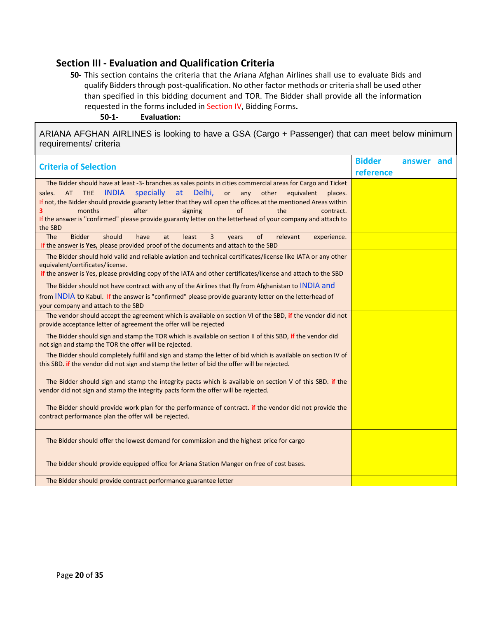# <span id="page-19-0"></span>**Section III - Evaluation and Qualification Criteria**

**50-** This section contains the criteria that the Ariana Afghan Airlines shall use to evaluate Bids and qualify Bidders through post-qualification. No other factor methods or criteria shall be used other than specified in this bidding document and TOR. The Bidder shall provide all the information requested in the forms included in Section IV, Bidding Forms**.**

**50-1- Evaluation:**

<span id="page-19-1"></span>ARIANA AFGHAN AIRLINES is looking to have a GSA (Cargo + Passenger) that can meet below minimum requirements/ criteria

| <b>Criteria of Selection</b>                                                                                    | <b>Bidder</b> | answer and |  |
|-----------------------------------------------------------------------------------------------------------------|---------------|------------|--|
|                                                                                                                 | reference     |            |  |
| The Bidder should have at least -3- branches as sales points in cities commercial areas for Cargo and Ticket    |               |            |  |
| <b>INDIA</b><br>specially<br>at<br>Delhi,<br>or<br>AT THE<br>any<br>other<br>equivalent<br>sales.<br>places.    |               |            |  |
| If not, the Bidder should provide guaranty letter that they will open the offices at the mentioned Areas within |               |            |  |
| after<br>of<br>months<br>signing<br>the<br>3<br>contract.                                                       |               |            |  |
| If the answer is "confirmed" please provide guaranty letter on the letterhead of your company and attach to     |               |            |  |
| the SBD                                                                                                         |               |            |  |
| <b>Bidder</b><br>should<br><b>The</b><br>have<br>least<br>3<br>of<br>at<br>relevant<br>experience.<br>years     |               |            |  |
| If the answer is Yes, please provided proof of the documents and attach to the SBD                              |               |            |  |
| The Bidder should hold valid and reliable aviation and technical certificates/license like IATA or any other    |               |            |  |
| equivalent/certificates/license.                                                                                |               |            |  |
| if the answer is Yes, please providing copy of the IATA and other certificates/license and attach to the SBD    |               |            |  |
| The Bidder should not have contract with any of the Airlines that fly from Afghanistan to INDIA and             |               |            |  |
| from INDIA to Kabul. If the answer is "confirmed" please provide guaranty letter on the letterhead of           |               |            |  |
| your company and attach to the SBD                                                                              |               |            |  |
| The vendor should accept the agreement which is available on section VI of the SBD, if the vendor did not       |               |            |  |
| provide acceptance letter of agreement the offer will be rejected                                               |               |            |  |
|                                                                                                                 |               |            |  |
| The Bidder should sign and stamp the TOR which is available on section II of this SBD, if the vendor did        |               |            |  |
| not sign and stamp the TOR the offer will be rejected.                                                          |               |            |  |
| The Bidder should completely fulfil and sign and stamp the letter of bid which is available on section IV of    |               |            |  |
| this SBD. if the vendor did not sign and stamp the letter of bid the offer will be rejected.                    |               |            |  |
|                                                                                                                 |               |            |  |
| The Bidder should sign and stamp the integrity pacts which is available on section V of this SBD. if the        |               |            |  |
| vendor did not sign and stamp the integrity pacts form the offer will be rejected.                              |               |            |  |
| The Bidder should provide work plan for the performance of contract. if the vendor did not provide the          |               |            |  |
| contract performance plan the offer will be rejected.                                                           |               |            |  |
|                                                                                                                 |               |            |  |
|                                                                                                                 |               |            |  |
| The Bidder should offer the lowest demand for commission and the highest price for cargo                        |               |            |  |
|                                                                                                                 |               |            |  |
| The bidder should provide equipped office for Ariana Station Manger on free of cost bases.                      |               |            |  |
|                                                                                                                 |               |            |  |
| The Bidder should provide contract performance guarantee letter                                                 |               |            |  |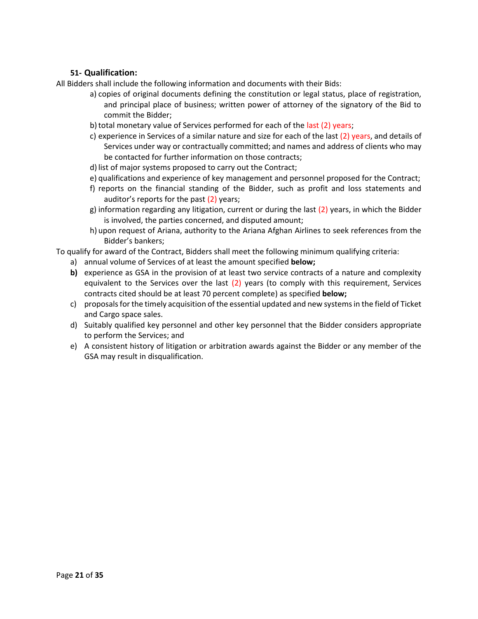# **51- Qualification:**

<span id="page-20-0"></span>All Bidders shall include the following information and documents with their Bids:

- a) copies of original documents defining the constitution or legal status, place of registration, and principal place of business; written power of attorney of the signatory of the Bid to commit the Bidder;
- b) total monetary value of Services performed for each of the last (2) years;
- c) experience in Services of a similar nature and size for each of the last  $(2)$  years, and details of Services under way or contractually committed; and names and address of clients who may be contacted for further information on those contracts;
- d) list of major systems proposed to carry out the Contract;
- e) qualifications and experience of key management and personnel proposed for the Contract;
- f) reports on the financial standing of the Bidder, such as profit and loss statements and auditor's reports for the past (2) years;
- g) information regarding any litigation, current or during the last (2) years, in which the Bidder is involved, the parties concerned, and disputed amount;
- h) upon request of Ariana, authority to the Ariana Afghan Airlines to seek references from the Bidder's bankers;

To qualify for award of the Contract, Bidders shall meet the following minimum qualifying criteria:

- a) annual volume of Services of at least the amount specified **below;**
- **b)** experience as GSA in the provision of at least two service contracts of a nature and complexity equivalent to the Services over the last (2) years (to comply with this requirement, Services contracts cited should be at least 70 percent complete) as specified **below;**
- c) proposals for the timely acquisition of the essential updated and new systems in the field of Ticket and Cargo space sales.
- d) Suitably qualified key personnel and other key personnel that the Bidder considers appropriate to perform the Services; and
- e) A consistent history of litigation or arbitration awards against the Bidder or any member of the GSA may result in disqualification.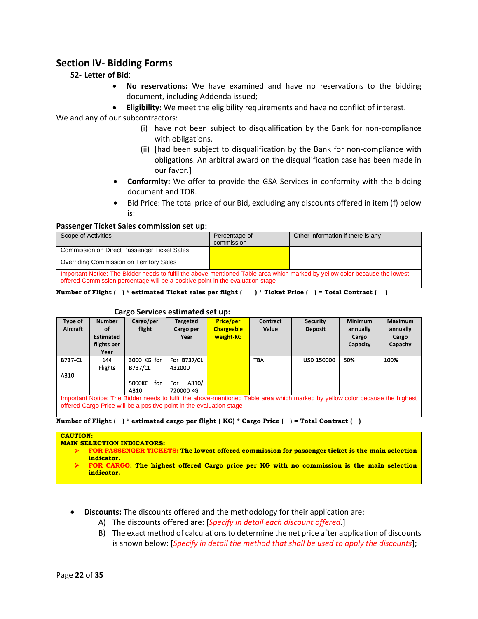# <span id="page-21-1"></span><span id="page-21-0"></span>**Section IV- Bidding Forms**

# **52- Letter of Bid**:

- **No reservations:** We have examined and have no reservations to the bidding document, including Addenda issued;
- **Eligibility:** We meet the eligibility requirements and have no conflict of interest.

We and any of our subcontractors:

- (i) have not been subject to disqualification by the Bank for non-compliance with obligations.
- (ii) [had been subject to disqualification by the Bank for non-compliance with obligations. An arbitral award on the disqualification case has been made in our favor.]
- **Conformity:** We offer to provide the GSA Services in conformity with the bidding document and TOR.
- Bid Price: The total price of our Bid, excluding any discounts offered in item (f) below is:

#### <span id="page-21-2"></span>**Passenger Ticket Sales commission set up**:

| Scope of Activities                                                                                                                                                                                           | Percentage of<br>commission | Other information if there is any |  |  |  |  |
|---------------------------------------------------------------------------------------------------------------------------------------------------------------------------------------------------------------|-----------------------------|-----------------------------------|--|--|--|--|
| Commission on Direct Passenger Ticket Sales                                                                                                                                                                   |                             |                                   |  |  |  |  |
| Overriding Commission on Territory Sales                                                                                                                                                                      |                             |                                   |  |  |  |  |
| Important Notice: The Bidder needs to fulfil the above-mentioned Table area which marked by yellow color because the lowest<br>offered Commission percentage will be a positive point in the evaluation stage |                             |                                   |  |  |  |  |

**Number of Flight ( ) \* estimated Ticket sales per flight ( ) \* Ticket Price ( ) = Total Contract ( )** 

#### **Cargo Services estimated set up:**

<span id="page-21-3"></span>

| Type of        | <b>Number</b>    | Cargo/per      | Targeted                                                             | <b>Price/per</b>  | Contract | <b>Security</b>                                                                                                              | <b>Minimum</b> | <b>Maximum</b> |
|----------------|------------------|----------------|----------------------------------------------------------------------|-------------------|----------|------------------------------------------------------------------------------------------------------------------------------|----------------|----------------|
| Aircraft       | οf               | flight         | Cargo per                                                            | <b>Chargeable</b> | Value    | <b>Deposit</b>                                                                                                               | annually       | annually       |
|                | <b>Estimated</b> |                | Year                                                                 | weight-KG         |          |                                                                                                                              | Cargo          | Cargo          |
|                | flights per      |                |                                                                      |                   |          |                                                                                                                              | Capacity       | Capacity       |
|                | Year             |                |                                                                      |                   |          |                                                                                                                              |                |                |
| <b>B737-CL</b> | 144              | 3000 KG for    | For B737/CL                                                          |                   | TBA      | <b>USD 150000</b>                                                                                                            | 50%            | 100%           |
|                | <b>Flights</b>   | <b>B737/CL</b> | 432000                                                               |                   |          |                                                                                                                              |                |                |
| A310           |                  |                |                                                                      |                   |          |                                                                                                                              |                |                |
|                |                  | 5000KG<br>for  | A310/<br>For                                                         |                   |          |                                                                                                                              |                |                |
|                |                  | A310           | 720000 KG                                                            |                   |          |                                                                                                                              |                |                |
|                |                  |                |                                                                      |                   |          | Important Notice: The Bidder needs to fulfil the above-mentioned Table area which marked by yellow color because the highest |                |                |
|                |                  |                | offered Cargo Price will be a positive point in the evaluation stage |                   |          |                                                                                                                              |                |                |

**Number of Flight ( ) \* estimated cargo per flight ( KG) \* Cargo Price ( ) = Total Contract ( )** 

#### **CAUTION:**

**MAIN SELECTION INDICATORS:**

- ➢ **FOR PASSENGER TICKETS: The lowest offered commission for passenger ticket is the main selection indicator.**
- ➢ **FOR CARGO: The highest offered Cargo price per KG with no commission is the main selection indicator.**
- **Discounts:** The discounts offered and the methodology for their application are:
	- A) The discounts offered are: [*Specify in detail each discount offered.*]
	- B) The exact method of calculations to determine the net price after application of discounts is shown below: [*Specify in detail the method that shall be used to apply the discounts*];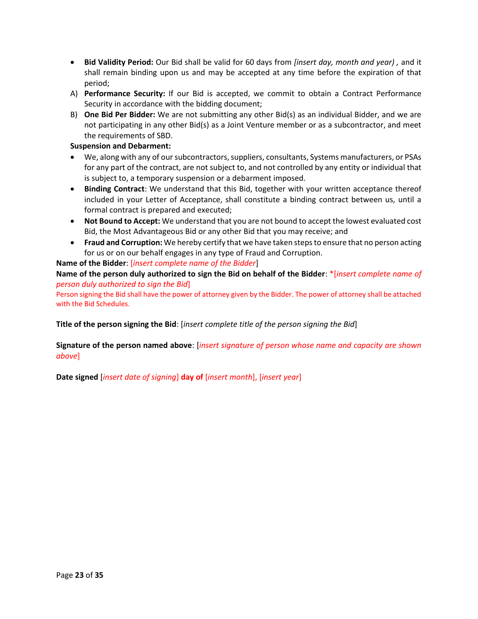- **Bid Validity Period:** Our Bid shall be valid for 60 days from *[insert day, month and year) ,* and it shall remain binding upon us and may be accepted at any time before the expiration of that period;
- A) **Performance Security:** If our Bid is accepted, we commit to obtain a Contract Performance Security in accordance with the bidding document;
- B) **One Bid Per Bidder:** We are not submitting any other Bid(s) as an individual Bidder, and we are not participating in any other Bid(s) as a Joint Venture member or as a subcontractor, and meet the requirements of SBD.

#### **Suspension and Debarment:**

- We, along with any of our subcontractors, suppliers, consultants, Systems manufacturers, or PSAs for any part of the contract, are not subject to, and not controlled by any entity or individual that is subject to, a temporary suspension or a debarment imposed.
- **Binding Contract**: We understand that this Bid, together with your written acceptance thereof included in your Letter of Acceptance, shall constitute a binding contract between us, until a formal contract is prepared and executed;
- **Not Bound to Accept:** We understand that you are not bound to accept the lowest evaluated cost Bid, the Most Advantageous Bid or any other Bid that you may receive; and
- **Fraud and Corruption:** We hereby certify that we have taken steps to ensure that no person acting for us or on our behalf engages in any type of Fraud and Corruption.

# **Name of the Bidder**: [*insert complete name of the Bidder*]

**Name of the person duly authorized to sign the Bid on behalf of the Bidder**: \*[*insert complete name of person duly authorized to sign the Bid*]

Person signing the Bid shall have the power of attorney given by the Bidder. The power of attorney shall be attached with the Bid Schedules.

**Title of the person signing the Bid**: [*insert complete title of the person signing the Bid*]

# **Signature of the person named above**: [*insert signature of person whose name and capacity are shown above*]

**Date signed** [*insert date of signing*] **day of** [*insert month*], [*insert year*]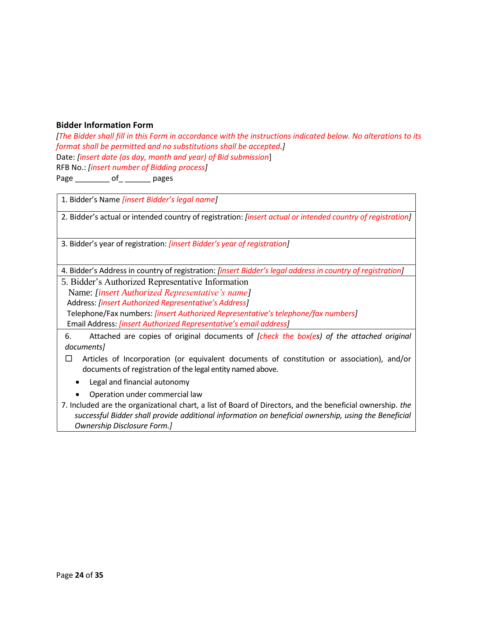# <span id="page-23-0"></span>**Bidder Information Form**

*[The Bidder shall fill in this Form in accordance with the instructions indicated below. No alterations to its format shall be permitted and no substitutions shall be accepted.]* Date: *[insert date (as day, month and year) of Bid submission*] RFB No.: *[insert number of Bidding process]* Page \_\_\_\_\_\_\_\_ of\_ \_\_\_\_\_\_ pages

1. Bidder's Name *[insert Bidder's legal name]*

2. Bidder's actual or intended country of registration: *[insert actual or intended country of registration]*

3. Bidder's year of registration: *[insert Bidder's year of registration]*

4. Bidder's Address in country of registration: *[insert Bidder's legal address in country of registration]*

5. Bidder's Authorized Representative Information Name: *[insert Authorized Representative's name]* Address: *[insert Authorized Representative's Address]* Telephone/Fax numbers: *[insert Authorized Representative's telephone/fax numbers]* Email Address: *[insert Authorized Representative's email address]*

6. Attached are copies of original documents of *[check the box(es) of the attached original documents]*

- $\Box$  Articles of Incorporation (or equivalent documents of constitution or association), and/or documents of registration of the legal entity named above.
	- Legal and financial autonomy
	- Operation under commercial law

<sup>7.</sup> Included are the organizational chart, a list of Board of Directors, and the beneficial ownership. *the successful Bidder shall provide additional information on beneficial ownership, using the Beneficial Ownership Disclosure Form.]*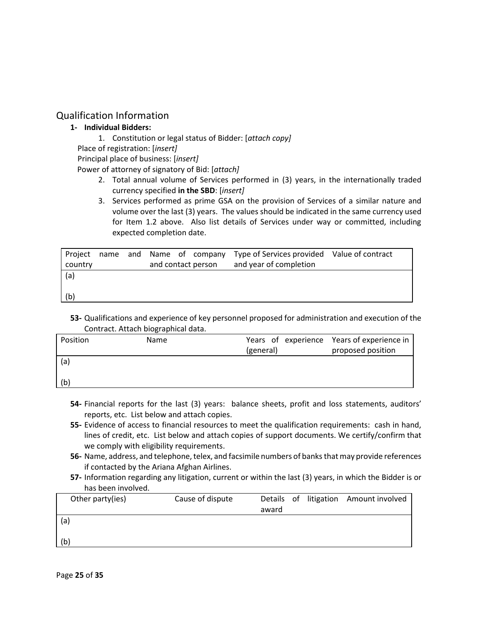# <span id="page-24-1"></span><span id="page-24-0"></span>Qualification Information

# **1- Individual Bidders:**

1. Constitution or legal status of Bidder: [*attach copy]*

Place of registration: [*insert]*

Principal place of business: [*insert]*

Power of attorney of signatory of Bid: [*attach]*

- 2. Total annual volume of Services performed in (3) years, in the internationally traded currency specified **in the SBD**: [*insert]*
- 3. Services performed as prime GSA on the provision of Services of a similar nature and volume over the last (3) years. The values should be indicated in the same currency used for Item 1.2 above. Also list details of Services under way or committed, including expected completion date.

| Project |  |  | name and Name of company | Type of Services provided Value of contract |  |
|---------|--|--|--------------------------|---------------------------------------------|--|
| country |  |  | and contact person       | and year of completion                      |  |
| (a)     |  |  |                          |                                             |  |
|         |  |  |                          |                                             |  |
| (b)     |  |  |                          |                                             |  |

**53-** Qualifications and experience of key personnel proposed for administration and execution of the Contract. Attach biographical data.

| Position | Name |           | Years of experience Years of experience in |
|----------|------|-----------|--------------------------------------------|
|          |      | (general) | proposed position                          |
| (a)      |      |           |                                            |
|          |      |           |                                            |
| (b)      |      |           |                                            |
|          |      |           |                                            |

- **54-** Financial reports for the last (3) years: balance sheets, profit and loss statements, auditors' reports, etc. List below and attach copies.
- **55-** Evidence of access to financial resources to meet the qualification requirements: cash in hand, lines of credit, etc. List below and attach copies of support documents. We certify/confirm that we comply with eligibility requirements.
- **56-** Name, address, and telephone, telex, and facsimile numbers of banks that may provide references if contacted by the Ariana Afghan Airlines.
- **57-** Information regarding any litigation, current or within the last (3) years, in which the Bidder is or has been involved.

| Other party(ies) | Cause of dispute |       |  | Details of litigation Amount involved |
|------------------|------------------|-------|--|---------------------------------------|
|                  |                  | award |  |                                       |
| (a)              |                  |       |  |                                       |
| (b)              |                  |       |  |                                       |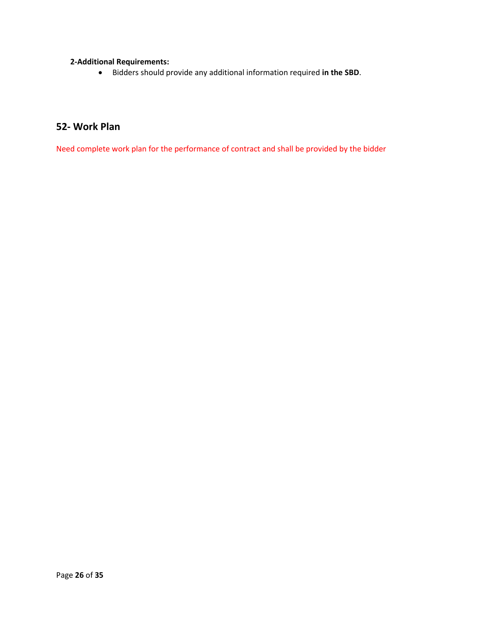# **2-Additional Requirements:**

• Bidders should provide any additional information required **in the SBD**.

# <span id="page-25-0"></span>**52- Work Plan**

Need complete work plan for the performance of contract and shall be provided by the bidder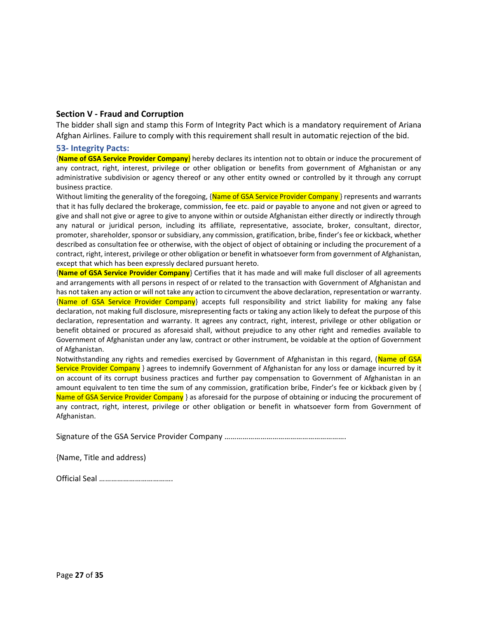#### <span id="page-26-0"></span>**Section V - Fraud and Corruption**

The bidder shall sign and stamp this Form of Integrity Pact which is a mandatory requirement of Ariana Afghan Airlines. Failure to comply with this requirement shall result in automatic rejection of the bid.

#### <span id="page-26-1"></span>**53- Integrity Pacts:**

{**Name of GSA Service Provider Company**} hereby declares its intention not to obtain or induce the procurement of any contract, right, interest, privilege or other obligation or benefits from government of Afghanistan or any administrative subdivision or agency thereof or any other entity owned or controlled by it through any corrupt business practice.

Without limiting the generality of the foregoing, {Name of GSA Service Provider Company} represents and warrants that it has fully declared the brokerage, commission, fee etc. paid or payable to anyone and not given or agreed to give and shall not give or agree to give to anyone within or outside Afghanistan either directly or indirectly through any natural or juridical person, including its affiliate, representative, associate, broker, consultant, director, promoter, shareholder, sponsor or subsidiary, any commission, gratification, bribe, finder's fee or kickback, whether described as consultation fee or otherwise, with the object of object of obtaining or including the procurement of a contract, right, interest, privilege or other obligation or benefit in whatsoever form from government of Afghanistan, except that which has been expressly declared pursuant hereto.

{**Name of GSA Service Provider Company**} Certifies that it has made and will make full discloser of all agreements and arrangements with all persons in respect of or related to the transaction with Government of Afghanistan and has not taken any action or will not take any action to circumvent the above declaration, representation or warranty. {Name of GSA Service Provider Company} accepts full responsibility and strict liability for making any false declaration, not making full disclosure, misrepresenting facts or taking any action likely to defeat the purpose of this declaration, representation and warranty. It agrees any contract, right, interest, privilege or other obligation or benefit obtained or procured as aforesaid shall, without prejudice to any other right and remedies available to Government of Afghanistan under any law, contract or other instrument, be voidable at the option of Government of Afghanistan.

Notwithstanding any rights and remedies exercised by Government of Afghanistan in this regard, (Name of GSA Service Provider Company } agrees to indemnify Government of Afghanistan for any loss or damage incurred by it on account of its corrupt business practices and further pay compensation to Government of Afghanistan in an amount equivalent to ten time the sum of any commission, gratification bribe, Finder's fee or kickback given by { Name of GSA Service Provider Company } as aforesaid for the purpose of obtaining or inducing the procurement of any contract, right, interest, privilege or other obligation or benefit in whatsoever form from Government of Afghanistan.

Signature of the GSA Service Provider Company …………………………………………………….

{Name, Title and address)

Official Seal ……………………………….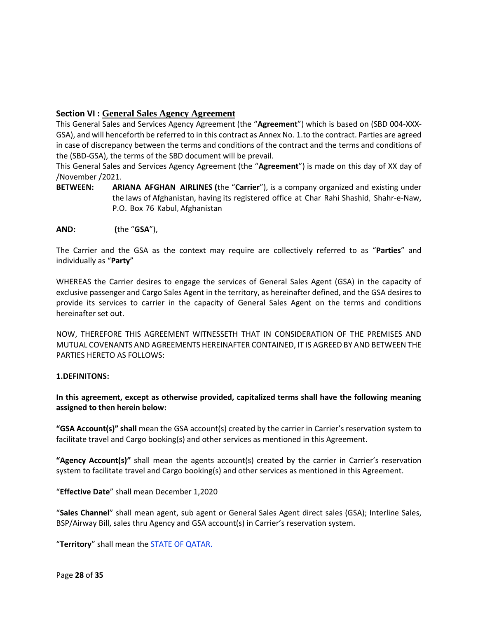# <span id="page-27-0"></span>**Section VI : General Sales Agency Agreement**

This General Sales and Services Agency Agreement (the "**Agreement**") which is based on (SBD 004-XXX-GSA), and will henceforth be referred to in this contract as Annex No. 1.to the contract. Parties are agreed in case of discrepancy between the terms and conditions of the contract and the terms and conditions of the (SBD-GSA), the terms of the SBD document will be prevail.

This General Sales and Services Agency Agreement (the "**Agreement**") is made on this day of XX day of /November /2021.

- **BETWEEN: ARIANA AFGHAN AIRLINES (**the "**Carrier**"), is a company organized and existing under the laws of Afghanistan, having its registered office at Char Rahi Shashid, Shahr-e-Naw, P.O. Box 76 Kabul, Afghanistan
- **AND: (**the "**GSA**"),

The Carrier and the GSA as the context may require are collectively referred to as "**Parties**" and individually as "**Party**"

WHEREAS the Carrier desires to engage the services of General Sales Agent (GSA) in the capacity of exclusive passenger and Cargo Sales Agent in the territory, as hereinafter defined, and the GSA desires to provide its services to carrier in the capacity of General Sales Agent on the terms and conditions hereinafter set out.

NOW, THEREFORE THIS AGREEMENT WITNESSETH THAT IN CONSIDERATION OF THE PREMISES AND MUTUAL COVENANTS AND AGREEMENTS HEREINAFTER CONTAINED, IT IS AGREED BY AND BETWEEN THE PARTIES HERETO AS FOLLOWS:

#### <span id="page-27-1"></span>**1.DEFINITONS:**

**In this agreement, except as otherwise provided, capitalized terms shall have the following meaning assigned to then herein below:**

**"GSA Account(s)" shall** mean the GSA account(s) created by the carrier in Carrier's reservation system to facilitate travel and Cargo booking(s) and other services as mentioned in this Agreement.

**"Agency Account(s)"** shall mean the agents account(s) created by the carrier in Carrier's reservation system to facilitate travel and Cargo booking(s) and other services as mentioned in this Agreement.

"**Effective Date**" shall mean December 1,2020

"**Sales Channel**" shall mean agent, sub agent or General Sales Agent direct sales (GSA); Interline Sales, BSP/Airway Bill, sales thru Agency and GSA account(s) in Carrier's reservation system.

"**Territory**" shall mean the STATE OF QATAR.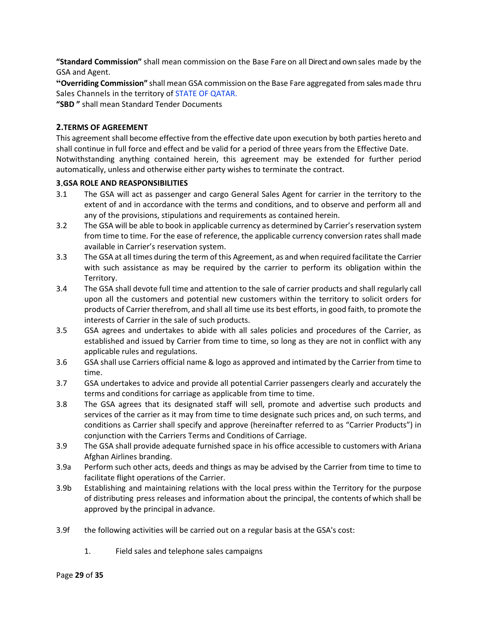**"Standard Commission"** shall mean commission on the Base Fare on all Direct and own sales made by the GSA and Agent.

**"Overriding Commission"** shall mean GSA commission on the Base Fare aggregated from sales made thru Sales Channels in the territory of STATE OF QATAR.

**"SBD "** shall mean Standard Tender Documents

# <span id="page-28-0"></span>**2.TERMS OF AGREEMENT**

This agreement shall become effective from the effective date upon execution by both parties hereto and shall continue in full force and effect and be valid for a period of three years from the Effective Date. Notwithstanding anything contained herein, this agreement may be extended for further period automatically, unless and otherwise either party wishes to terminate the contract.

#### <span id="page-28-1"></span>**3**.**GSA ROLE AND REASPONSIBILITIES**

- 3.1 The GSA will act as passenger and cargo General Sales Agent for carrier in the territory to the extent of and in accordance with the terms and conditions, and to observe and perform all and any of the provisions, stipulations and requirements as contained herein.
- 3.2 The GSA will be able to book in applicable currency as determined by Carrier's reservation system from time to time. For the ease of reference, the applicable currency conversion rates shall made available in Carrier's reservation system.
- 3.3 The GSA at all times during the term of this Agreement, as and when required facilitate the Carrier with such assistance as may be required by the carrier to perform its obligation within the Territory.
- 3.4 The GSA shall devote full time and attention to the sale of carrier products and shall regularly call upon all the customers and potential new customers within the territory to solicit orders for products of Carrier therefrom, and shall all time use its best efforts, in good faith, to promote the interests of Carrier in the sale of such products.
- 3.5 GSA agrees and undertakes to abide with all sales policies and procedures of the Carrier, as established and issued by Carrier from time to time, so long as they are not in conflict with any applicable rules and regulations.
- 3.6 GSA shall use Carriers official name & logo as approved and intimated by the Carrier from time to time.
- 3.7 GSA undertakes to advice and provide all potential Carrier passengers clearly and accurately the terms and conditions for carriage as applicable from time to time.
- 3.8 The GSA agrees that its designated staff will sell, promote and advertise such products and services of the carrier as it may from time to time designate such prices and, on such terms, and conditions as Carrier shall specify and approve (hereinafter referred to as "Carrier Products") in conjunction with the Carriers Terms and Conditions of Carriage.
- 3.9 The GSA shall provide adequate furnished space in his office accessible to customers with Ariana Afghan Airlines branding.
- 3.9a Perform such other acts, deeds and things as may be advised by the Carrier from time to time to facilitate flight operations of the Carrier.
- 3.9b Establishing and maintaining relations with the local press within the Territory for the purpose of distributing press releases and information about the principal, the contents ofwhich shall be approved by the principal in advance.
- 3.9f the following activities will be carried out on a regular basis at the GSA's cost:
	- 1. Field sales and telephone sales campaigns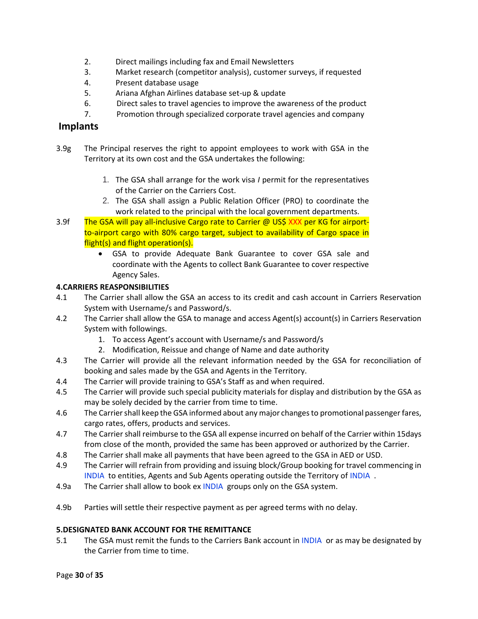- 2. Direct mailings including fax and Email Newsletters
- 3. Market research (competitor analysis), customer surveys, if requested
- 4. Present database usage
- 5. Ariana Afghan Airlines database set-up & update
- 6. Direct sales to travel agencies to improve the awareness of the product
- 7. Promotion through specialized corporate travel agencies and company

# <span id="page-29-0"></span>**Implants**

- 3.9g The Principal reserves the right to appoint employees to work with GSA in the Territory at its own cost and the GSA undertakes the following:
	- 1. The GSA shall arrange for the work visa *I* permit for the representatives of the Carrier on the Carriers Cost.
	- 2. The GSA shall assign a Public Relation Officer (PRO) to coordinate the work related to the principal with the local government departments.
- 3.9f The GSA will pay all-inclusive Cargo rate to Carrier @ US\$ XXX per KG for airportto-airport cargo with 80% cargo target, subject to availability of Cargo space in flight(s) and flight operation(s).
	- GSA to provide Adequate Bank Guarantee to cover GSA sale and coordinate with the Agents to collect Bank Guarantee to cover respective Agency Sales.

#### <span id="page-29-1"></span>**4.CARRIERS REASPONSIBILITIES**

- 4.1 The Carrier shall allow the GSA an access to its credit and cash account in Carriers Reservation System with Username/s and Password/s.
- 4.2 The Carrier shall allow the GSA to manage and access Agent(s) account(s) in Carriers Reservation System with followings.
	- 1. To access Agent's account with Username/s and Password/s
	- 2. Modification, Reissue and change of Name and date authority
- 4.3 The Carrier will provide all the relevant information needed by the GSA for reconciliation of booking and sales made by the GSA and Agents in the Territory.
- 4.4 The Carrier will provide training to GSA's Staff as and when required.
- 4.5 The Carrier will provide such special publicity materials for display and distribution by the GSA as may be solely decided by the carrier from time to time.
- 4.6 The Carrier shall keep the GSA informed about any major changes to promotional passenger fares, cargo rates, offers, products and services.
- 4.7 The Carrier shall reimburse to the GSA all expense incurred on behalf of the Carrier within 15days from close of the month, provided the same has been approved or authorized by the Carrier.
- 4.8 The Carrier shall make all payments that have been agreed to the GSA in AED or USD.
- 4.9 The Carrier will refrain from providing and issuing block/Group booking for travel commencing in INDIA to entities, Agents and Sub Agents operating outside the Territory of INDIA .
- 4.9a The Carrier shall allow to book ex INDIA groups only on the GSA system.
- 4.9b Parties will settle their respective payment as per agreed terms with no delay.

#### <span id="page-29-2"></span>**5.DESIGNATED BANK ACCOUNT FOR THE REMITTANCE**

5.1 The GSA must remit the funds to the Carriers Bank account in INDIA or as may be designated by the Carrier from time to time.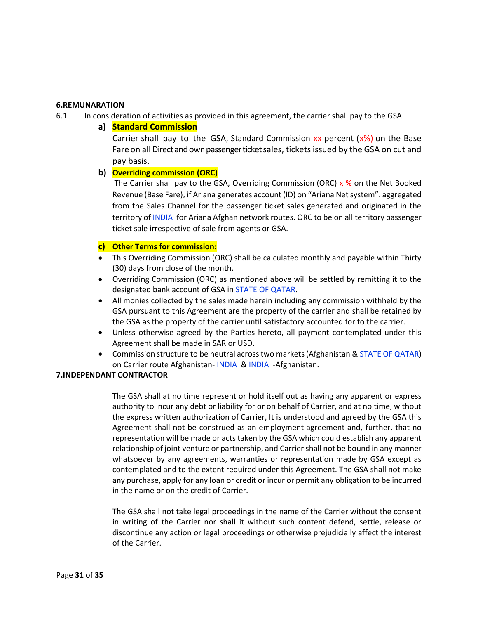#### <span id="page-30-0"></span>**6.REMUNARATION**

- <span id="page-30-1"></span>6.1 In consideration of activities as provided in this agreement, the carrier shall pay to the GSA
	- **a) Standard Commission**

Carrier shall pay to the GSA, Standard Commission  $xx$  percent  $(x\%)$  on the Base Fare on all Direct and own passenger ticket sales, tickets issued by the GSA on cut and pay basis.

#### <span id="page-30-2"></span>**b) Overriding commission (ORC)**

The Carrier shall pay to the GSA, Overriding Commission (ORC)  $x$  % on the Net Booked Revenue (Base Fare), if Ariana generates account (ID) on "Ariana Net system". aggregated from the Sales Channel for the passenger ticket sales generated and originated in the territory of INDIA for Ariana Afghan network routes. ORC to be on all territory passenger ticket sale irrespective of sale from agents or GSA.

#### <span id="page-30-3"></span>**c) Other Terms for commission:**

- This Overriding Commission (ORC) shall be calculated monthly and payable within Thirty (30) days from close of the month.
- Overriding Commission (ORC) as mentioned above will be settled by remitting it to the designated bank account of GSA in STATE OF QATAR.
- All monies collected by the sales made herein including any commission withheld by the GSA pursuant to this Agreement are the property of the carrier and shall be retained by the GSA as the property of the carrier until satisfactory accounted for to the carrier.
- Unless otherwise agreed by the Parties hereto, all payment contemplated under this Agreement shall be made in SAR or USD.
- Commission structure to be neutral across two markets (Afghanistan & STATE OF QATAR) on Carrier route Afghanistan- INDIA & INDIA -Afghanistan.

#### <span id="page-30-4"></span>**7.INDEPENDANT CONTRACTOR**

The GSA shall at no time represent or hold itself out as having any apparent or express authority to incur any debt or liability for or on behalf of Carrier, and at no time, without the express written authorization of Carrier, It is understood and agreed by the GSA this Agreement shall not be construed as an employment agreement and, further, that no representation will be made or acts taken by the GSA which could establish any apparent relationship of joint venture or partnership, and Carrier shall not be bound in any manner whatsoever by any agreements, warranties or representation made by GSA except as contemplated and to the extent required under this Agreement. The GSA shall not make any purchase, apply for any loan or credit or incur or permit any obligation to be incurred in the name or on the credit of Carrier.

The GSA shall not take legal proceedings in the name of the Carrier without the consent in writing of the Carrier nor shall it without such content defend, settle, release or discontinue any action or legal proceedings or otherwise prejudicially affect the interest of the Carrier.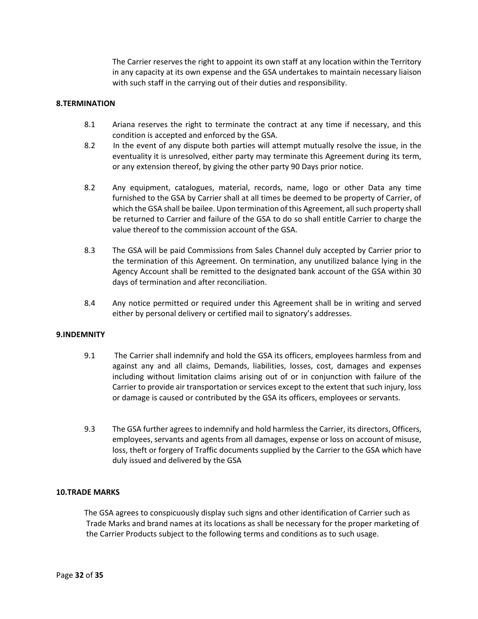The Carrier reserves the right to appoint its own staff at any location within the Territory in any capacity at its own expense and the GSA undertakes to maintain necessary liaison with such staff in the carrying out of their duties and responsibility.

#### <span id="page-31-0"></span>**8.TERMINATION**

- 8.1 Ariana reserves the right to terminate the contract at any time if necessary, and this condition is accepted and enforced by the GSA.
- 8.2 In the event of any dispute both parties will attempt mutually resolve the issue, in the eventuality it is unresolved, either party may terminate this Agreement during its term, or any extension thereof, by giving the other party 90 Days prior notice.
- 8.2 Any equipment, catalogues, material, records, name, logo or other Data any time furnished to the GSA by Carrier shall at all times be deemed to be property of Carrier, of which the GSA shall be bailee. Upon termination of this Agreement, all such property shall be returned to Carrier and failure of the GSA to do so shall entitle Carrier to charge the value thereof to the commission account of the GSA.
- 8.3 The GSA will be paid Commissions from Sales Channel duly accepted by Carrier prior to the termination of this Agreement. On termination, any unutilized balance lying in the Agency Account shall be remitted to the designated bank account of the GSA within 30 days of termination and after reconciliation.
- 8.4 Any notice permitted or required under this Agreement shall be in writing and served either by personal delivery or certified mail to signatory's addresses.

#### <span id="page-31-1"></span>**9.INDEMNITY**

- 9.1 The Carrier shall indemnify and hold the GSA its officers, employees harmless from and against any and all claims, Demands, liabilities, losses, cost, damages and expenses including without limitation claims arising out of or in conjunction with failure of the Carrier to provide air transportation or services except to the extent that such injury, loss or damage is caused or contributed by the GSA its officers, employees or servants.
- 9.3 The GSA further agrees to indemnify and hold harmless the Carrier, its directors, Officers, employees, servants and agents from all damages, expense or loss on account of misuse, loss, theft or forgery of Traffic documents supplied by the Carrier to the GSA which have duly issued and delivered by the GSA

#### <span id="page-31-2"></span>**10.TRADE MARKS**

The GSA agrees to conspicuously display such signs and other identification of Carrier such as Trade Marks and brand names at its locations as shall be necessary for the proper marketing of the Carrier Products subject to the following terms and conditions as to such usage.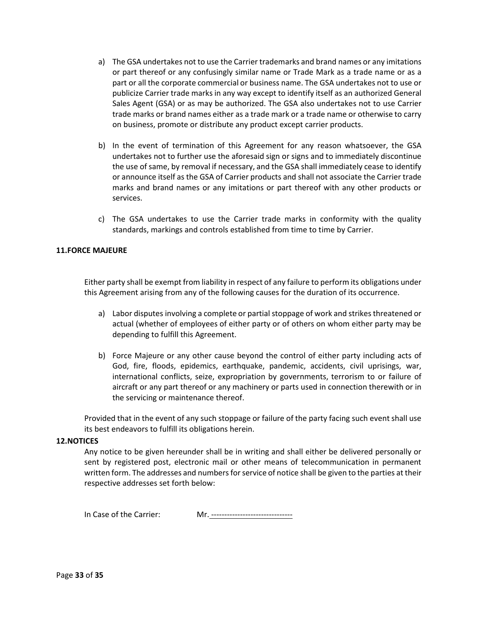- a) The GSA undertakes not to use the Carrier trademarks and brand names or any imitations or part thereof or any confusingly similar name or Trade Mark as a trade name or as a part or all the corporate commercial or business name. The GSA undertakes not to use or publicize Carrier trade marks in any way except to identify itself as an authorized General Sales Agent (GSA) or as may be authorized. The GSA also undertakes not to use Carrier trade marks or brand names either as a trade mark or a trade name or otherwise to carry on business, promote or distribute any product except carrier products.
- b) In the event of termination of this Agreement for any reason whatsoever, the GSA undertakes not to further use the aforesaid sign or signs and to immediately discontinue the use of same, by removal if necessary, and the GSA shall immediately cease to identify or announce itself as the GSA of Carrier products and shall not associate the Carrier trade marks and brand names or any imitations or part thereof with any other products or services.
- c) The GSA undertakes to use the Carrier trade marks in conformity with the quality standards, markings and controls established from time to time by Carrier.

#### <span id="page-32-0"></span>**11.FORCE MAJEURE**

Either party shall be exempt from liability in respect of any failure to perform its obligations under this Agreement arising from any of the following causes for the duration of its occurrence.

- a) Labor disputes involving a complete or partial stoppage of work and strikes threatened or actual (whether of employees of either party or of others on whom either party may be depending to fulfill this Agreement.
- b) Force Majeure or any other cause beyond the control of either party including acts of God, fire, floods, epidemics, earthquake, pandemic, accidents, civil uprisings, war, international conflicts, seize, expropriation by governments, terrorism to or failure of aircraft or any part thereof or any machinery or parts used in connection therewith or in the servicing or maintenance thereof.

Provided that in the event of any such stoppage or failure of the party facing such event shall use its best endeavors to fulfill its obligations herein.

#### <span id="page-32-1"></span>**12.NOTICES**

Any notice to be given hereunder shall be in writing and shall either be delivered personally or sent by registered post, electronic mail or other means of telecommunication in permanent written form. The addresses and numbers for service of notice shall be given to the parties at their respective addresses set forth below:

In Case of the Carrier: Mr. -------------------------------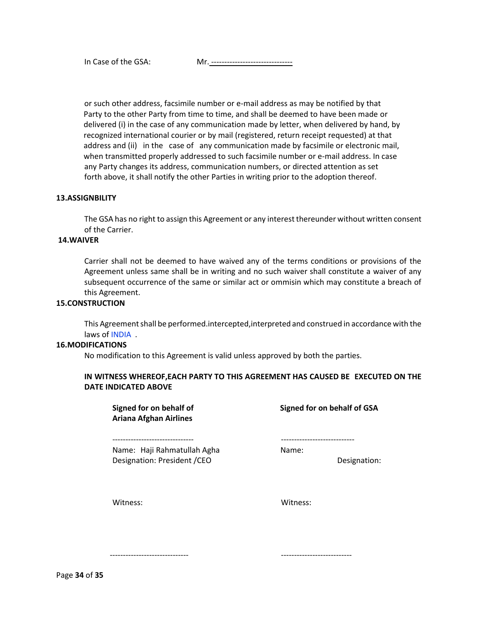or such other address, facsimile number or e-mail address as may be notified by that Party to the other Party from time to time, and shall be deemed to have been made or delivered (i) in the case of any communication made by letter, when delivered by hand, by recognized international courier or by mail (registered, return receipt requested) at that address and (ii) in the case of any communication made by facsimile or electronic mail, when transmitted properly addressed to such facsimile number or e-mail address. In case any Party changes its address, communication numbers, or directed attention as set forth above, it shall notify the other Parties in writing prior to the adoption thereof.

#### <span id="page-33-0"></span>**13.ASSIGNBILITY**

The GSA has no right to assign this Agreement or any interest thereunder without written consent of the Carrier.

#### <span id="page-33-1"></span>**14.WAIVER**

Carrier shall not be deemed to have waived any of the terms conditions or provisions of the Agreement unless same shall be in writing and no such waiver shall constitute a waiver of any subsequent occurrence of the same or similar act or ommisin which may constitute a breach of this Agreement.

#### <span id="page-33-2"></span>**15.CONSTRUCTION**

This Agreement shall be performed.intercepted,interpreted and construed in accordance with the laws of INDIA .

#### <span id="page-33-3"></span>**16.MODIFICATIONS**

No modification to this Agreement is valid unless approved by both the parties.

#### **IN WITNESS WHEREOF,EACH PARTY TO THIS AGREEMENT HAS CAUSED BE EXECUTED ON THE DATE INDICATED ABOVE**

**Signed for on behalf of Signed for on behalf of GSA Ariana Afghan Airlines**  Name: Haji Rahmatullah Agha Name: Name: Designation: President /CEO Designation:

------------------------------- ----------------------------

Witness: Witness:

------------------------------ ---------------------------